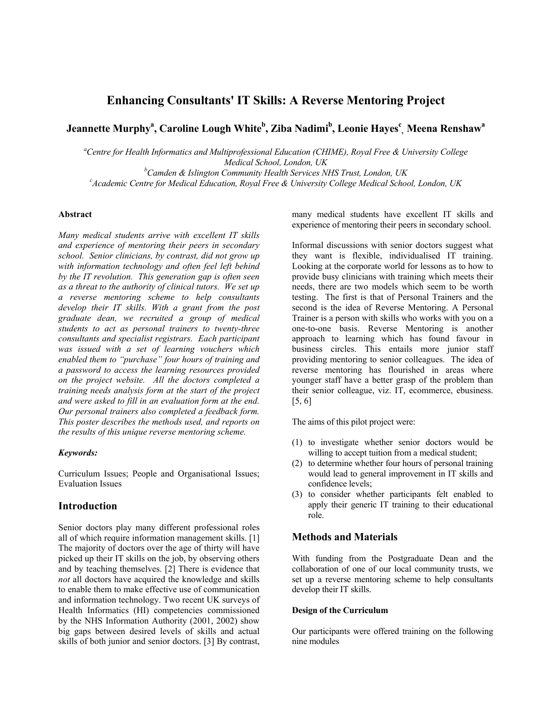# **Enhancing Consultants' IT Skills: A Reverse Mentoring Project**

# $J$ eannette Murphy<sup>a</sup>, Caroline Lough White<sup>b</sup>, Ziba Nadimi<sup>b</sup>, Leonie Hayes<sup>c</sup>, Meena Renshaw<sup>a</sup>

*a Centre for Health Informatics and Multiprofessional Education (CHIME), Royal Free & University College Medical School, London, UK* 

*b Camden & Islington Community Health Services NHS Trust, London, UK <sup>c</sup>*

*Academic Centre for Medical Education, Royal Free & University College Medical School, London, UK* 

### **Abstract**

*Many medical students arrive with excellent IT skills and experience of mentoring their peers in secondary school. Senior clinicians, by contrast, did not grow up with information technology and often feel left behind by the IT revolution. This generation gap is often seen as a threat to the authority of clinical tutors. We set up a reverse mentoring scheme to help consultants develop their IT skills. With a grant from the post graduate dean, we recruited a group of medical students to act as personal trainers to twenty-three consultants and specialist registrars. Each participant was issued with a set of learning vouchers which enabled them to "purchase" four hours of training and a password to access the learning resources provided on the project website. All the doctors completed a training needs analysis form at the start of the project and were asked to fill in an evaluation form at the end. Our personal trainers also completed a feedback form. This poster describes the methods used, and reports on the results of this unique reverse mentoring scheme.* 

#### *Keywords:*

Curriculum Issues; People and Organisational Issues; Evaluation Issues

# **Introduction**

Senior doctors play many different professional roles all of which require information management skills. [1] The majority of doctors over the age of thirty will have picked up their IT skills on the job, by observing others and by teaching themselves. [2] There is evidence that *not* all doctors have acquired the knowledge and skills to enable them to make effective use of communication and information technology. Two recent UK surveys of Health Informatics (HI) competencies commissioned by the NHS Information Authority (2001, 2002) show big gaps between desired levels of skills and actual skills of both junior and senior doctors. [3] By contrast, many medical students have excellent IT skills and experience of mentoring their peers in secondary school.

Informal discussions with senior doctors suggest what they want is flexible, individualised IT training. Looking at the corporate world for lessons as to how to provide busy clinicians with training which meets their needs, there are two models which seem to be worth testing. The first is that of Personal Trainers and the second is the idea of Reverse Mentoring. A Personal Trainer is a person with skills who works with you on a one-to-one basis. Reverse Mentoring is another approach to learning which has found favour in business circles. This entails more junior staff providing mentoring to senior colleagues. The idea of reverse mentoring has flourished in areas where younger staff have a better grasp of the problem than their senior colleague, viz. IT, ecommerce, ebusiness. [5, 6]

The aims of this pilot project were:

- (1) to investigate whether senior doctors would be willing to accept tuition from a medical student;
- (2) to determine whether four hours of personal training would lead to general improvement in IT skills and confidence levels;
- (3) to consider whether participants felt enabled to apply their generic IT training to their educational role.

## **Methods and Materials**

With funding from the Postgraduate Dean and the collaboration of one of our local community trusts, we set up a reverse mentoring scheme to help consultants develop their IT skills.

#### **Design of the Curriculum**

Our participants were offered training on the following nine modules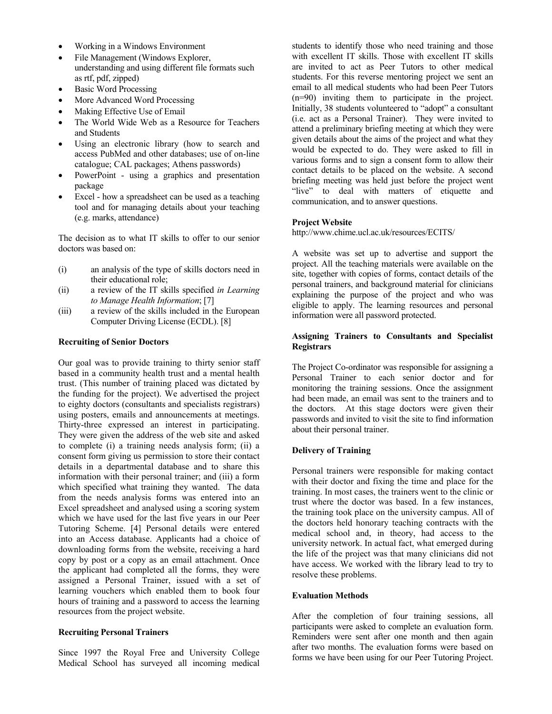- Working in a Windows Environment
- File Management (Windows Explorer, understanding and using different file formats such as rtf, pdf, zipped)
- Basic Word Processing
- More Advanced Word Processing
- Making Effective Use of Email
- The World Wide Web as a Resource for Teachers and Students
- Using an electronic library (how to search and access PubMed and other databases; use of on-line catalogue; CAL packages; Athens passwords)
- PowerPoint using a graphics and presentation package
- Excel how a spreadsheet can be used as a teaching tool and for managing details about your teaching (e.g. marks, attendance)

The decision as to what IT skills to offer to our senior doctors was based on:

- (i) an analysis of the type of skills doctors need in their educational role;
- (ii) a review of the IT skills specified *in Learning to Manage Health Information*; [7]
- (iii) a review of the skills included in the European Computer Driving License (ECDL). [8]

#### **Recruiting of Senior Doctors**

Our goal was to provide training to thirty senior staff based in a community health trust and a mental health trust. (This number of training placed was dictated by the funding for the project). We advertised the project to eighty doctors (consultants and specialists registrars) using posters, emails and announcements at meetings. Thirty-three expressed an interest in participating. They were given the address of the web site and asked to complete (i) a training needs analysis form; (ii) a consent form giving us permission to store their contact details in a departmental database and to share this information with their personal trainer; and (iii) a form which specified what training they wanted. The data from the needs analysis forms was entered into an Excel spreadsheet and analysed using a scoring system which we have used for the last five years in our Peer Tutoring Scheme. [4] Personal details were entered into an Access database. Applicants had a choice of downloading forms from the website, receiving a hard copy by post or a copy as an email attachment. Once the applicant had completed all the forms, they were assigned a Personal Trainer, issued with a set of learning vouchers which enabled them to book four hours of training and a password to access the learning resources from the project website.

#### **Recruiting Personal Trainers**

Since 1997 the Royal Free and University College Medical School has surveyed all incoming medical students to identify those who need training and those with excellent IT skills. Those with excellent IT skills are invited to act as Peer Tutors to other medical students. For this reverse mentoring project we sent an email to all medical students who had been Peer Tutors (n=90) inviting them to participate in the project. Initially, 38 students volunteered to "adopt" a consultant (i.e. act as a Personal Trainer). They were invited to attend a preliminary briefing meeting at which they were given details about the aims of the project and what they would be expected to do. They were asked to fill in various forms and to sign a consent form to allow their contact details to be placed on the website. A second briefing meeting was held just before the project went "live" to deal with matters of etiquette and communication, and to answer questions.

#### **Project Website**

http://www.chime.ucl.ac.uk/resources/ECITS/

A website was set up to advertise and support the project. All the teaching materials were available on the site, together with copies of forms, contact details of the personal trainers, and background material for clinicians explaining the purpose of the project and who was eligible to apply. The learning resources and personal information were all password protected.

#### **Assigning Trainers to Consultants and Specialist Registrars**

The Project Co-ordinator was responsible for assigning a Personal Trainer to each senior doctor and for monitoring the training sessions. Once the assignment had been made, an email was sent to the trainers and to the doctors. At this stage doctors were given their passwords and invited to visit the site to find information about their personal trainer.

### **Delivery of Training**

Personal trainers were responsible for making contact with their doctor and fixing the time and place for the training. In most cases, the trainers went to the clinic or trust where the doctor was based. In a few instances, the training took place on the university campus. All of the doctors held honorary teaching contracts with the medical school and, in theory, had access to the university network. In actual fact, what emerged during the life of the project was that many clinicians did not have access. We worked with the library lead to try to resolve these problems.

#### **Evaluation Methods**

After the completion of four training sessions, all participants were asked to complete an evaluation form. Reminders were sent after one month and then again after two months. The evaluation forms were based on forms we have been using for our Peer Tutoring Project.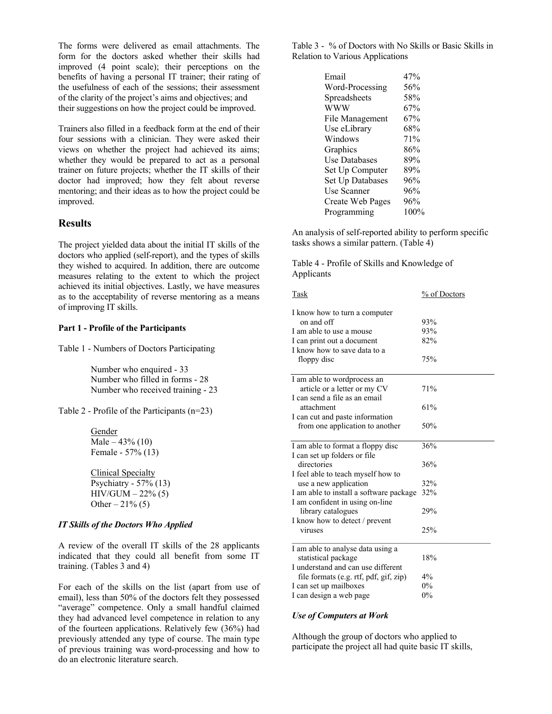The forms were delivered as email attachments. The form for the doctors asked whether their skills had improved (4 point scale); their perceptions on the benefits of having a personal IT trainer; their rating of the usefulness of each of the sessions; their assessment of the clarity of the project's aims and objectives; and their suggestions on how the project could be improved.

Trainers also filled in a feedback form at the end of their four sessions with a clinician. They were asked their views on whether the project had achieved its aims; whether they would be prepared to act as a personal trainer on future projects; whether the IT skills of their doctor had improved; how they felt about reverse mentoring; and their ideas as to how the project could be improved.

# **Results**

The project yielded data about the initial IT skills of the doctors who applied (self-report), and the types of skills they wished to acquired. In addition, there are outcome measures relating to the extent to which the project achieved its initial objectives. Lastly, we have measures as to the acceptability of reverse mentoring as a means of improving IT skills.

#### **Part 1 - Profile of the Participants**

Table 1 - Numbers of Doctors Participating

Number who enquired - 33 Number who filled in forms - 28 Number who received training - 23

Table 2 - Profile of the Participants (n=23)

#### Gender Male –  $43\%$  (10) Female - 57% (13)

Clinical Specialty Psychiatry - 57% (13)  $HIV/GUM - 22\% (5)$ Other  $-21\%$  (5)

#### *IT Skills of the Doctors Who Applied*

A review of the overall IT skills of the 28 applicants indicated that they could all benefit from some IT training. (Tables 3 and 4)

For each of the skills on the list (apart from use of email), less than 50% of the doctors felt they possessed "average" competence. Only a small handful claimed they had advanced level competence in relation to any of the fourteen applications. Relatively few (36%) had previously attended any type of course. The main type of previous training was word-processing and how to do an electronic literature search.

Table 3 - % of Doctors with No Skills or Basic Skills in Relation to Various Applications

| Email            | 47%  |
|------------------|------|
| Word-Processing  | 56%  |
| Spreadsheets     | 58%  |
| www              | 67%  |
| File Management  | 67%  |
| Use eLibrary     | 68%  |
| Windows          | 71%  |
| Graphics         | 86%  |
| Use Databases    | 89%  |
| Set Up Computer  | 89%  |
| Set Up Databases | 96%  |
| Use Scanner      | 96%  |
| Create Web Pages | 96%  |
| Programming      | 100% |

An analysis of self-reported ability to perform specific tasks shows a similar pattern. (Table 4)

Table 4 - Profile of Skills and Knowledge of Applicants

| <b>Task</b>                             | % of Doctors |  |
|-----------------------------------------|--------------|--|
| I know how to turn a computer           |              |  |
| on and off                              | 93%          |  |
| I am able to use a mouse                | 93%          |  |
| I can print out a document              | 82%          |  |
| I know how to save data to a            |              |  |
| floppy disc                             | 75%          |  |
| I am able to wordprocess an             |              |  |
| article or a letter or my CV            | 71%          |  |
| I can send a file as an email           |              |  |
| attachment                              | 61%          |  |
| I can cut and paste information         |              |  |
| from one application to another         | 50%          |  |
|                                         |              |  |
| I am able to format a floppy disc       | 36%          |  |
| I can set up folders or file            |              |  |
| directories                             | 36%          |  |
| I feel able to teach myself how to      |              |  |
| use a new application                   | 32%          |  |
| I am able to install a software package | 32%          |  |
| I am confident in using on-line         |              |  |
| library catalogues                      | 29%          |  |
| I know how to detect / prevent          |              |  |
| viruses                                 | 25%          |  |
| I am able to analyse data using a       |              |  |
| statistical package                     | 18%          |  |
| I understand and can use different      |              |  |
| file formats (e.g. rtf, pdf, gif, zip)  | 4%           |  |
| I can set up mailboxes                  | $0\%$        |  |
| I can design a web page                 | $0\%$        |  |

#### *Use of Computers at Work*

Although the group of doctors who applied to participate the project all had quite basic IT skills,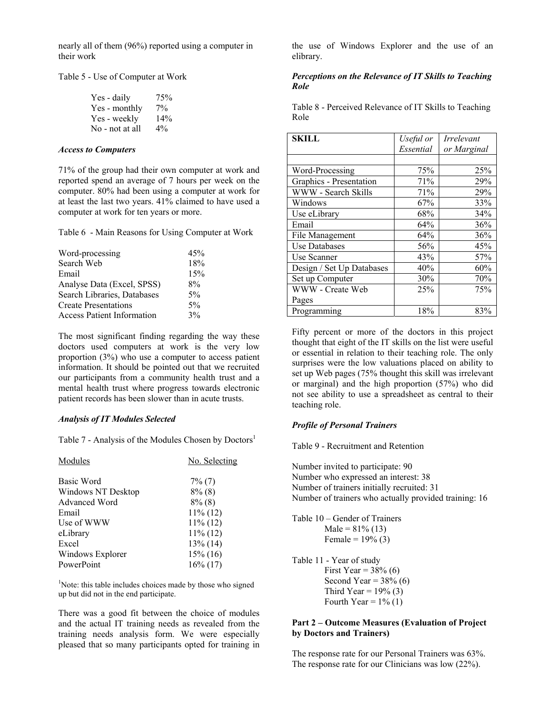nearly all of them (96%) reported using a computer in their work

Table 5 - Use of Computer at Work

| Yes - daily     | 75%   |
|-----------------|-------|
| Yes - monthly   | $7\%$ |
| Yes - weekly    | 14%   |
| No - not at all | $4\%$ |

#### *Access to Computers*

71% of the group had their own computer at work and reported spend an average of 7 hours per week on the computer. 80% had been using a computer at work for at least the last two years. 41% claimed to have used a computer at work for ten years or more.

Table 6 - Main Reasons for Using Computer at Work

| Word-processing                   | 45%   |
|-----------------------------------|-------|
| Search Web                        | 18%   |
| Email                             | 15%   |
| Analyse Data (Excel, SPSS)        | 8%    |
| Search Libraries, Databases       | 5%    |
| <b>Create Presentations</b>       | $5\%$ |
| <b>Access Patient Information</b> | 3%    |

The most significant finding regarding the way these doctors used computers at work is the very low proportion (3%) who use a computer to access patient information. It should be pointed out that we recruited our participants from a community health trust and a mental health trust where progress towards electronic patient records has been slower than in acute trusts.

#### *Analysis of IT Modules Selected*

Table 7 - Analysis of the Modules Chosen by Doctors<sup>1</sup>

| Modules            | No. Selecting |  |
|--------------------|---------------|--|
| Basic Word         | $7\%$ (7)     |  |
| Windows NT Desktop | $8\%$ (8)     |  |
| Advanced Word      | $8\%$ (8)     |  |
| Email              | $11\%$ (12)   |  |
| Use of WWW         | $11\%$ (12)   |  |
| eLibrary           | $11\%$ (12)   |  |
| Excel              | $13\%$ (14)   |  |
| Windows Explorer   | $15\%$ (16)   |  |
| PowerPoint         | $16\%$ (17)   |  |

<sup>1</sup>Note: this table includes choices made by those who signed up but did not in the end participate.

There was a good fit between the choice of modules and the actual IT training needs as revealed from the training needs analysis form. We were especially pleased that so many participants opted for training in

the use of Windows Explorer and the use of an elibrary.

#### *Perceptions on the Relevance of IT Skills to Teaching Role*

Table 8 - Perceived Relevance of IT Skills to Teaching Role

| SKILL                     | Useful or | <i><u><b>Irrelevant</b></u></i> |
|---------------------------|-----------|---------------------------------|
|                           | Essential | or Marginal                     |
|                           |           |                                 |
| Word-Processing           | 75%       | 25%                             |
| Graphics - Presentation   | 71%       | 29%                             |
| WWW - Search Skills       | 71%       | 29%                             |
| Windows                   | 67%       | 33%                             |
| Use eLibrary              | 68%       | 34%                             |
| Email                     | 64%       | 36%                             |
| File Management           | 64%       | 36%                             |
| <b>Use Databases</b>      | 56%       | 45%                             |
| Use Scanner               | 43%       | 57%                             |
| Design / Set Up Databases | 40%       | 60%                             |
| Set up Computer           | 30%       | 70%                             |
| WWW - Create Web          | 25%       | 75%                             |
| Pages                     |           |                                 |
| Programming               | 18%       | 83%                             |

Fifty percent or more of the doctors in this project thought that eight of the IT skills on the list were useful or essential in relation to their teaching role. The only surprises were the low valuations placed on ability to set up Web pages (75% thought this skill was irrelevant or marginal) and the high proportion (57%) who did not see ability to use a spreadsheet as central to their teaching role.

#### *Profile of Personal Trainers*

Table 9 - Recruitment and Retention

Number invited to participate: 90 Number who expressed an interest: 38 Number of trainers initially recruited: 31 Number of trainers who actually provided training: 16

| Table 10 – Gender of Trainers |
|-------------------------------|
| Male = $81\%$ (13)            |
| Female = $19% (3)$            |

- Table 11 Year of study First Year =  $38\%$  (6) Second Year =  $38\%$  (6)
	- Third Year =  $19\%$  (3) Fourth Year =  $1\%$  (1)

#### **Part 2 – Outcome Measures (Evaluation of Project by Doctors and Trainers)**

The response rate for our Personal Trainers was 63%. The response rate for our Clinicians was low (22%).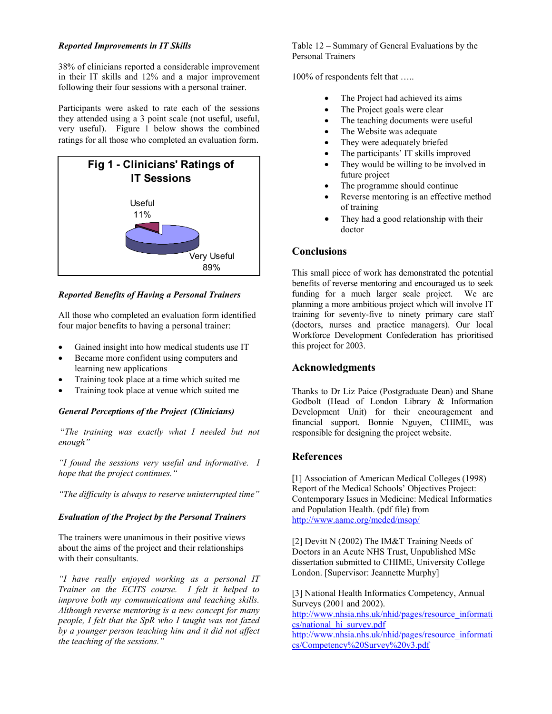38% of clinicians reported a considerable improvement in their IT skills and 12% and a major improvement following their four sessions with a personal trainer.

Participants were asked to rate each of the sessions they attended using a 3 point scale (not useful, useful, very useful). Figure 1 below shows the combined ratings for all those who completed an evaluation form.



*Reported Benefits of Having a Personal Trainers* 

All those who completed an evaluation form identified four major benefits to having a personal trainer:

- Gained insight into how medical students use IT
- Became more confident using computers and learning new applications
- Training took place at a time which suited me
- 

# *General Perceptions of the Project (Clinicians)*

 "*The training was exactly what I needed but not enough"* 

**References** *"I found the sessions very useful and informative. I hope that the project continues.*" <sup>[1]</sup> Association of American Medical Colleges (1998)

*"The difficulty is always to reserve uninterrupted time"*

### *Evaluation of the Project by the Personal Trainers*

The trainers were unanimous in their positive views about the aims of the project and their relationships with their consultants.

London. [Supervisor: Jeannette Murphy] *"I have really enjoyed working as a personal IT Trainer on the ECITS course. I felt it helped to improve both my communications and teaching skills. Although reverse mentoring is a new concept for many people, I felt that the SpR who I taught was not fazed by a younger person teaching him and it did not affect the teaching of the sessions."* 

*Reported Improvements in IT Skills* Table 12 – Summary of General Evaluations by the Personal Trainers

100% of respondents felt that …..

- The Project had achieved its aims
- The Project goals were clear
- The teaching documents were useful
- The Website was adequate
- They were adequately briefed
- The participants' IT skills improved
- They would be willing to be involved in future project
- The programme should continue
- Reverse mentoring is an effective method of training
- They had a good relationship with their doctor

# **Conclusions**

This small piece of work has demonstrated the potential benefits of reverse mentoring and encouraged us to seek funding for a much larger scale project. We are planning a more ambitious project which will involve IT training for seventy-five to ninety primary care staff (doctors, nurses and practice managers). Our local Workforce Development Confederation has prioritised this project for 2003.

# **Acknowledgments**

• Training took place at venue which suited me Thanks to Dr Liz Paice (Postgraduate Dean) and Shane Godbolt (Head of London Library & Information Development Unit) for their encouragement and financial support. Bonnie Nguyen, CHIME, was responsible for designing the project website.

Report of the Medical Schools' Objectives Project: Contemporary Issues in Medicine: Medical Informatics and Population Health. (pdf file) from <http://www.aamc.org/meded/msop/>

[2] Devitt N (2002) The IM&T Training Needs of Doctors in an Acute NHS Trust, Unpublished MSc dissertation submitted to CHIME, University College

[3] National Health Informatics Competency, Annual Surveys (2001 and 2002). [http://www.nhsia.nhs.uk/nhid/pages/resource\\_informati](http://www.nhsia.nhs.uk/nhid/pages/resource_informatics/national_hi_survey.pdf) [cs/national\\_hi\\_survey.pdf](http://www.nhsia.nhs.uk/nhid/pages/resource_informatics/national_hi_survey.pdf)

[http://www.nhsia.nhs.uk/nhid/pages/resource\\_informati](http://www.nhsia.nhs.uk/nhid/pages/resource_informatics/Competency Survey v3.pdf) [cs/Competency%20Survey%20v3.pdf](http://www.nhsia.nhs.uk/nhid/pages/resource_informatics/Competency Survey v3.pdf)